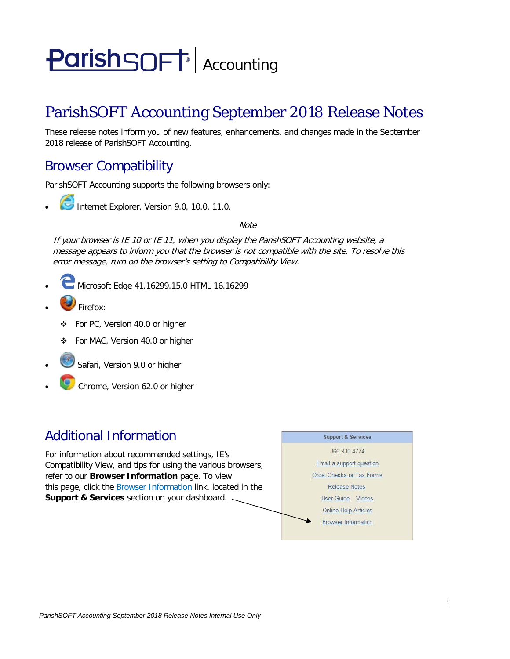# **ParishSOFT** Accounting

## ParishSOFT Accounting September 2018 Release Notes

These release notes inform you of new features, enhancements, and changes made in the September 2018 release of ParishSOFT Accounting.

## Browser Compatibility

ParishSOFT Accounting supports the following browsers only:

**• Internet Explorer, Version 9.0, 10.0, 11.0.** 

**Note** 

If your browser is IE 10 or IE 11, when you display the ParishSOFT Accounting website, a message appears to inform you that the browser is not compatible with the site. To resolve this error message, turn on the browser's setting to Compatibility View.

- Microsoft Edge 41.16299.15.0 HTML 16.16299
- Firefox:
	- For PC, Version 40.0 or higher
	- For MAC, Version 40.0 or higher
- Safari, Version 9.0 or higher
- Chrome, Version 62.0 or higher

## Additional Information

For information about recommended settings, IE's Compatibility View, and tips for using the various browsers, refer to our **Browser Information** page. To view this page, click the Browser Information link, located in the **Support & Services** section on your dashboard.

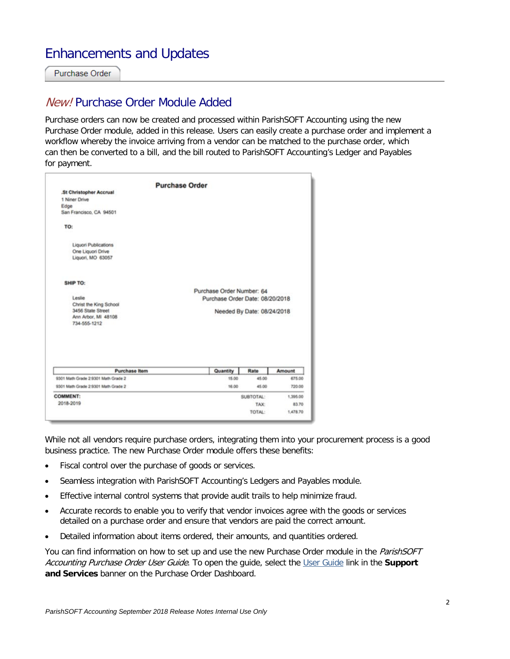## Enhancements and Updates

Purchase Order

#### New! Purchase Order Module Added

Purchase orders can now be created and processed within ParishSOFT Accounting using the new Purchase Order module, added in this release. Users can easily create a purchase order and implement a workflow whereby the invoice arriving from a vendor can be matched to the purchase order, which can then be converted to a bill, and the bill routed to ParishSOFT Accounting's Ledger and Payables for payment.

While not all vendors require purchase orders, integrating them into your procurement process is a good business practice. The new Purchase Order module offers these benefits:

- Fiscal control over the purchase of goods or services.
- Seamless integration with ParishSOFT Accounting's Ledgers and Payables module.
- Effective internal control systems that provide audit trails to help minimize fraud.
- Accurate records to enable you to verify that vendor invoices agree with the goods or services detailed on a purchase order and ensure that vendors are paid the correct amount.
- Detailed information about items ordered, their amounts, and quantities ordered.

You can find information on how to set up and use the new Purchase Order module in the ParishSOFT Accounting Purchase Order User Guide. To open the guide, select the User Guide link in the **Support and Services** banner on the Purchase Order Dashboard.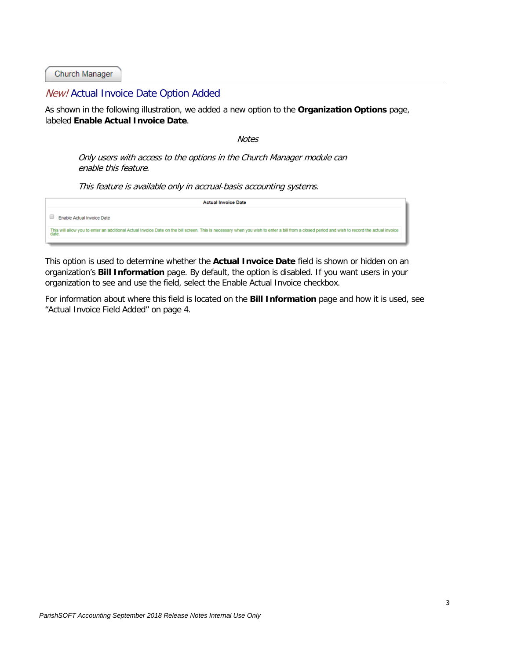Church Manager

#### <span id="page-2-0"></span>New! Actual Invoice Date Option Added

As shown in the following illustration, we added a new option to the **Organization Options** page, labeled **Enable Actual Invoice Date**.

Notes

Only users with access to the options in the Church Manager module can enable this feature.

This feature is available only in accrual-basis accounting systems.

| <b>Actual Invoice Date</b>                                                                                                                                                                    |  |
|-----------------------------------------------------------------------------------------------------------------------------------------------------------------------------------------------|--|
| Enable Actual Invoice Date                                                                                                                                                                    |  |
| This will allow you to enter an additional Actual Invoice Date on the bill screen. This is necessary when you wish to enter a bill from a closed period and wish to record the actual invoice |  |
|                                                                                                                                                                                               |  |

This option is used to determine whether the **Actual Invoice Date** field is shown or hidden on an organization's **Bill Information** page. By default, the option is disabled. If you want users in your organization to see and use the field, select the Enable Actual Invoice checkbox.

For information about where this field is located on the **Bill Information** page and how it is used, see "Actual Invoice Field Added" on page [4.](#page-3-0)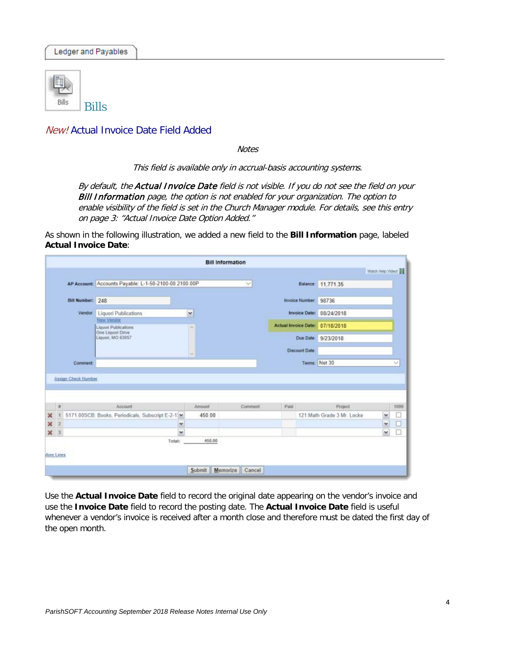

#### <span id="page-3-0"></span>New! Actual Invoice Date Field Added

**Notes** 

This field is available only in accrual-basis accounting systems.

By default, the Actual Invoice Date field is not visible. If you do not see the field on your **Bill Information** page, the option is not enabled for your organization. The option to enable visibility of the field is set in the Church Manager module. For details, see this entry on pag[e 3:](#page-2-0) ["Actual Invoice Date Option Added.](#page-2-0)"

As shown in the following illustration, we added a new field to the **Bill Information** page, labeled **Actual Invoice Date**:

|                |                |                  |                                                             | <b>Bill Information</b> |              |                                 |                                       |                   |           |
|----------------|----------------|------------------|-------------------------------------------------------------|-------------------------|--------------|---------------------------------|---------------------------------------|-------------------|-----------|
|                |                |                  |                                                             |                         |              |                                 |                                       | Watch Help Video! |           |
|                |                |                  | AP Account: Accounts Payable: L-1-50-2100-00 2100.00P       |                         | $\checkmark$ |                                 | Balance: 11,771.35                    |                   |           |
|                |                | Bill Number: 248 |                                                             |                         |              | Invoice Number:                 | 98736                                 |                   |           |
|                |                | Vendor:          | Liquori Publications                                        | ×                       |              | Invoice Date: 08/24/2018        |                                       |                   |           |
|                |                |                  | New Vendor<br>Liquori Publications                          | ×                       |              | Actual Invoice Date: 07/18/2018 |                                       |                   |           |
|                |                |                  | One Liquori Drive<br>Liquori, MO 63057                      |                         |              |                                 | Due Date 9/23/2018                    |                   |           |
|                |                |                  |                                                             | u                       |              | <b>Discount Date</b>            |                                       |                   |           |
|                |                | Comment          |                                                             |                         |              |                                 | Terms: Net 30                         |                   | ×         |
|                |                |                  |                                                             |                         |              |                                 |                                       |                   |           |
| $\pmb{\times}$ | $\pi$          |                  | Account<br>5171.00SCB: Books, Periodicals, Subscript E-2-1. | Amount<br>450.00        | Comment      | Paid                            | Project<br>121:Math Grade 3 Mr. Locke | ٧                 | 1099<br>□ |
| ×              | $\overline{2}$ |                  | ٧                                                           |                         |              |                                 |                                       | v                 | $\Box$    |
|                | x <sub>3</sub> |                  | ×                                                           |                         |              |                                 |                                       | ×                 | □         |
|                |                |                  | Total:                                                      | 450.00                  |              |                                 |                                       |                   |           |
|                | Apre Lines     |                  |                                                             | Memorize<br>Submit      | Cancel       |                                 |                                       |                   |           |

Use the **Actual Invoice Date** field to record the original date appearing on the vendor's invoice and use the **Invoice Date** field to record the posting date. The **Actual Invoice Date** field is useful whenever a vendor's invoice is received after a month close and therefore must be dated the first day of the open month.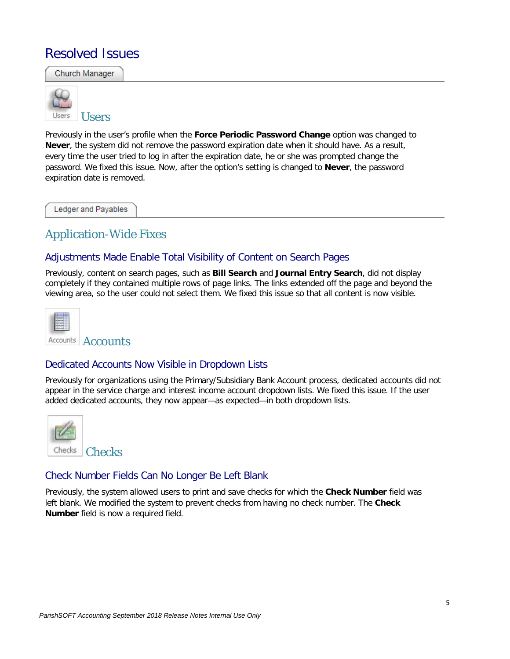## Resolved Issues

Church Manager **Users Users** 

Previously in the user's profile when the **Force Periodic Password Change** option was changed to **Never**, the system did not remove the password expiration date when it should have. As a result, every time the user tried to log in after the expiration date, he or she was prompted change the password. We fixed this issue. Now, after the option's setting is changed to **Never**, the password expiration date is removed.

Ledger and Payables

### Application-Wide Fixes

#### Adjustments Made Enable Total Visibility of Content on Search Pages

Previously, content on search pages, such as **Bill Search** and **Journal Entry Search**, did not display completely if they contained multiple rows of page links. The links extended off the page and beyond the viewing area, so the user could not select them. We fixed this issue so that all content is now visible.

| <b>Accounts</b> |
|-----------------|

#### Dedicated Accounts Now Visible in Dropdown Lists

Previously for organizations using the Primary/Subsidiary Bank Account process, dedicated accounts did not appear in the service charge and interest income account dropdown lists. We fixed this issue. If the user added dedicated accounts, they now appear—as expected—in both dropdown lists.



#### Check Number Fields Can No Longer Be Left Blank

Previously, the system allowed users to print and save checks for which the **Check Number** field was left blank. We modified the system to prevent checks from having no check number. The **Check Number** field is now a required field.